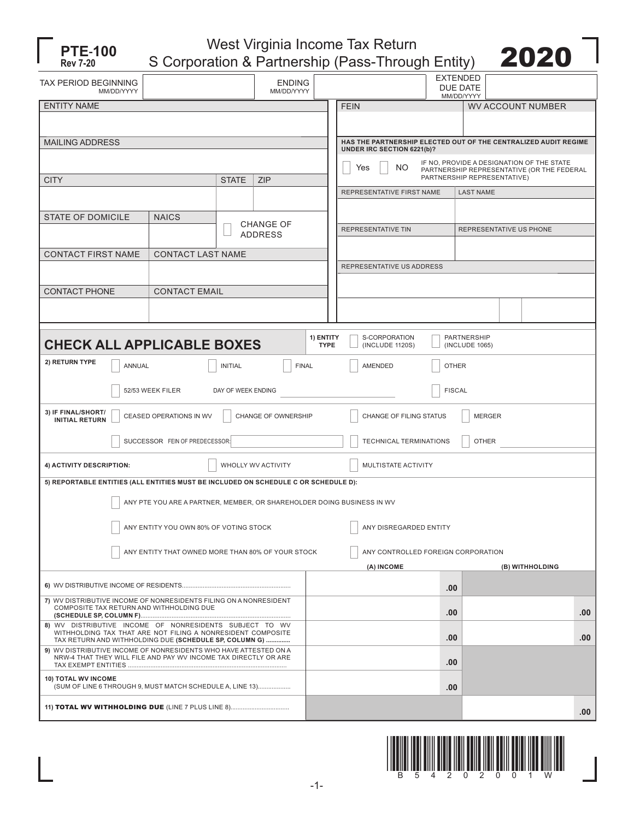

West Virginia Income Tax Return S Corporation & Partnership (Pass-Through Entity) 2020



| TAX PERIOD BEGINNING<br>MM/DD/YYYY                                                                                                                                               |                                                                        |  | <b>ENDING</b><br>MM/DD/YYYY |                                          |                                                                                                      | <b>EXTENDED</b><br><b>DUE DATE</b><br>MM/DD/YYYY |                          |                 |  |  |  |  |
|----------------------------------------------------------------------------------------------------------------------------------------------------------------------------------|------------------------------------------------------------------------|--|-----------------------------|------------------------------------------|------------------------------------------------------------------------------------------------------|--------------------------------------------------|--------------------------|-----------------|--|--|--|--|
| <b>ENTITY NAME</b>                                                                                                                                                               |                                                                        |  |                             | <b>FEIN</b>                              |                                                                                                      |                                                  | <b>WV ACCOUNT NUMBER</b> |                 |  |  |  |  |
|                                                                                                                                                                                  |                                                                        |  |                             |                                          |                                                                                                      |                                                  |                          |                 |  |  |  |  |
| <b>MAILING ADDRESS</b>                                                                                                                                                           |                                                                        |  |                             |                                          | HAS THE PARTNERSHIP ELECTED OUT OF THE CENTRALIZED AUDIT REGIME<br>UNDER IRC SECTION 6221(b)?        |                                                  |                          |                 |  |  |  |  |
|                                                                                                                                                                                  |                                                                        |  |                             |                                          | IF NO, PROVIDE A DESIGNATION OF THE STATE<br>NO<br>Yes<br>PARTNERSHIP REPRESENTATIVE (OR THE FEDERAL |                                                  |                          |                 |  |  |  |  |
| <b>CITY</b><br><b>STATE</b><br><b>ZIP</b>                                                                                                                                        |                                                                        |  |                             |                                          | PARTNERSHIP REPRESENTATIVE)                                                                          |                                                  |                          |                 |  |  |  |  |
|                                                                                                                                                                                  |                                                                        |  |                             |                                          | REPRESENTATIVE FIRST NAME                                                                            |                                                  | <b>LAST NAME</b>         |                 |  |  |  |  |
| <b>STATE OF DOMICILE</b><br><b>NAICS</b>                                                                                                                                         |                                                                        |  |                             |                                          |                                                                                                      |                                                  |                          |                 |  |  |  |  |
|                                                                                                                                                                                  | <b>CHANGE OF</b><br><b>ADDRESS</b>                                     |  |                             |                                          | REPRESENTATIVE TIN                                                                                   | REPRESENTATIVE US PHONE                          |                          |                 |  |  |  |  |
| <b>CONTACT FIRST NAME</b>                                                                                                                                                        | <b>CONTACT LAST NAME</b>                                               |  |                             |                                          |                                                                                                      |                                                  |                          |                 |  |  |  |  |
|                                                                                                                                                                                  |                                                                        |  |                             |                                          | REPRESENTATIVE US ADDRESS                                                                            |                                                  |                          |                 |  |  |  |  |
|                                                                                                                                                                                  |                                                                        |  |                             |                                          |                                                                                                      |                                                  |                          |                 |  |  |  |  |
| <b>CONTACT PHONE</b>                                                                                                                                                             | <b>CONTACT EMAIL</b>                                                   |  |                             |                                          |                                                                                                      |                                                  |                          |                 |  |  |  |  |
|                                                                                                                                                                                  |                                                                        |  |                             |                                          |                                                                                                      |                                                  |                          |                 |  |  |  |  |
|                                                                                                                                                                                  |                                                                        |  |                             |                                          |                                                                                                      |                                                  |                          |                 |  |  |  |  |
| 1) ENTITY<br>S-CORPORATION<br>PARTNERSHIP<br><b>CHECK ALL APPLICABLE BOXES</b><br><b>TYPE</b><br>(INCLUDE 1120S)<br>(INCLUDE 1065)                                               |                                                                        |  |                             |                                          |                                                                                                      |                                                  |                          |                 |  |  |  |  |
|                                                                                                                                                                                  |                                                                        |  |                             |                                          |                                                                                                      |                                                  |                          |                 |  |  |  |  |
| 2) RETURN TYPE<br><b>INITIAL</b><br><b>FINAL</b><br>ANNUAL                                                                                                                       |                                                                        |  |                             |                                          | <b>OTHER</b><br><b>AMENDED</b>                                                                       |                                                  |                          |                 |  |  |  |  |
| 52/53 WEEK FILER<br>DAY OF WEEK ENDING                                                                                                                                           |                                                                        |  |                             |                                          | <b>FISCAL</b>                                                                                        |                                                  |                          |                 |  |  |  |  |
| 3) IF FINAL/SHORT/<br>CEASED OPERATIONS IN WV<br>CHANGE OF OWNERSHIP<br><b>INITIAL RETURN</b>                                                                                    |                                                                        |  |                             | CHANGE OF FILING STATUS<br><b>MERGER</b> |                                                                                                      |                                                  |                          |                 |  |  |  |  |
| SUCCESSOR FEIN OF PREDECESSOR:                                                                                                                                                   |                                                                        |  |                             | <b>OTHER</b><br>TECHNICAL TERMINATIONS   |                                                                                                      |                                                  |                          |                 |  |  |  |  |
| 4) ACTIVITY DESCRIPTION:<br>WHOLLY WV ACTIVITY                                                                                                                                   |                                                                        |  |                             | MULTISTATE ACTIVITY                      |                                                                                                      |                                                  |                          |                 |  |  |  |  |
| 5) REPORTABLE ENTITIES (ALL ENTITIES MUST BE INCLUDED ON SCHEDULE C OR SCHEDULE D):                                                                                              |                                                                        |  |                             |                                          |                                                                                                      |                                                  |                          |                 |  |  |  |  |
|                                                                                                                                                                                  | ANY PTE YOU ARE A PARTNER, MEMBER, OR SHAREHOLDER DOING BUSINESS IN WV |  |                             |                                          |                                                                                                      |                                                  |                          |                 |  |  |  |  |
| ANY ENTITY YOU OWN 80% OF VOTING STOCK                                                                                                                                           |                                                                        |  |                             |                                          | ANY DISREGARDED ENTITY                                                                               |                                                  |                          |                 |  |  |  |  |
| ANY ENTITY THAT OWNED MORE THAN 80% OF YOUR STOCK                                                                                                                                |                                                                        |  |                             | ANY CONTROLLED FOREIGN CORPORATION       |                                                                                                      |                                                  |                          |                 |  |  |  |  |
|                                                                                                                                                                                  |                                                                        |  |                             |                                          | (A) INCOME                                                                                           |                                                  |                          | (B) WITHHOLDING |  |  |  |  |
|                                                                                                                                                                                  |                                                                        |  |                             |                                          |                                                                                                      | .00                                              |                          |                 |  |  |  |  |
| 7) WV DISTRIBUTIVE INCOME OF NONRESIDENTS FILING ON A NONRESIDENT<br>COMPOSITE TAX RETURN AND WITHHOLDING DUE                                                                    |                                                                        |  |                             |                                          | .00                                                                                                  |                                                  |                          | .00             |  |  |  |  |
| 8) WV DISTRIBUTIVE INCOME OF NONRESIDENTS SUBJECT TO WV<br>WITHHOLDING TAX THAT ARE NOT FILING A NONRESIDENT COMPOSITE<br>TAX RETURN AND WITHHOLDING DUE (SCHEDULE SP, COLUMN G) |                                                                        |  |                             |                                          | .00                                                                                                  |                                                  |                          | .00             |  |  |  |  |
| 9) WV DISTRIBUTIVE INCOME OF NONRESIDENTS WHO HAVE ATTESTED ON A<br>NRW-4 THAT THEY WILL FILE AND PAY WV INCOME TAX DIRECTLY OR ARE                                              |                                                                        |  |                             |                                          |                                                                                                      | .00                                              |                          |                 |  |  |  |  |
| <b>10) TOTAL WV INCOME</b><br>(SUM OF LINE 6 THROUGH 9, MUST MATCH SCHEDULE A, LINE 13)                                                                                          |                                                                        |  |                             |                                          |                                                                                                      | .00                                              |                          |                 |  |  |  |  |
|                                                                                                                                                                                  |                                                                        |  |                             |                                          |                                                                                                      |                                                  |                          | .00             |  |  |  |  |